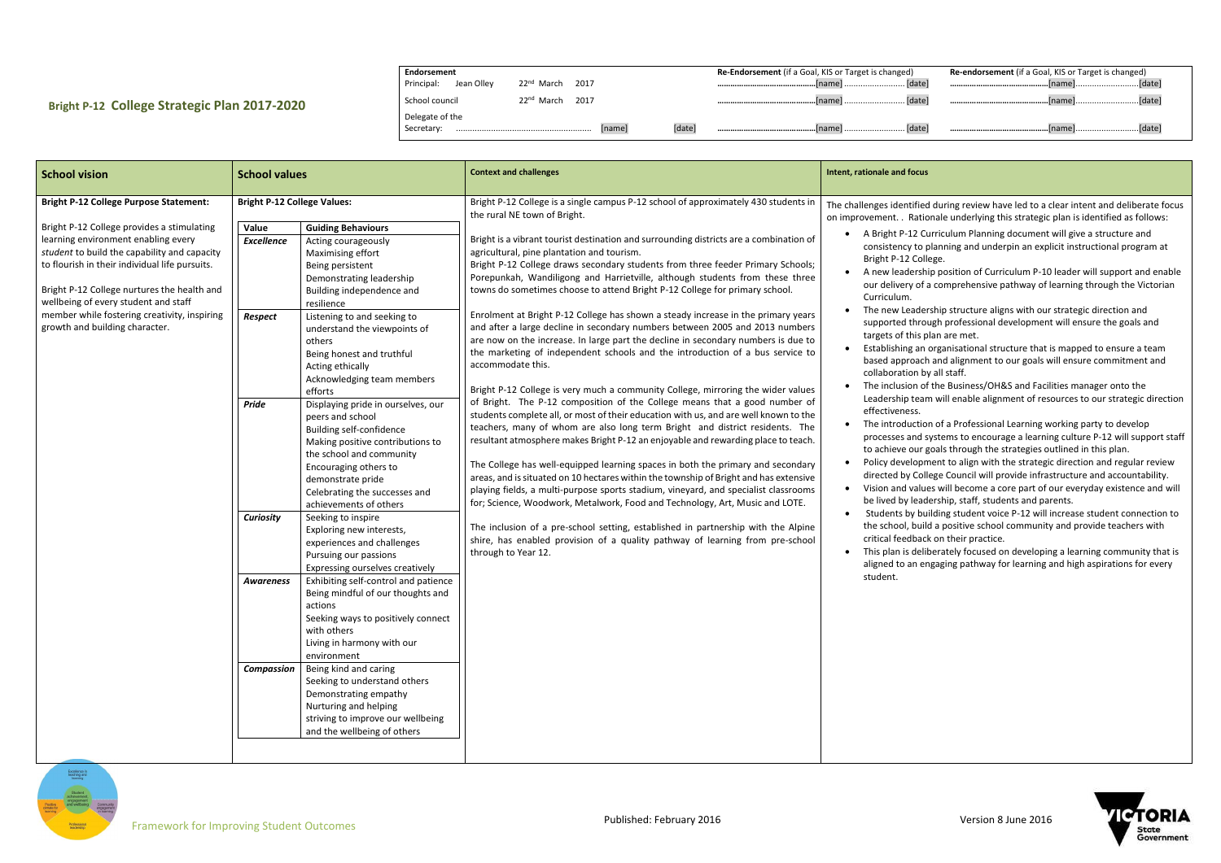## **Bright P-12 College Strategic Plan 2017-2020**

| Endorsement              |                                   |        | <b>Re-Endorsement</b> (if a Goal, KIS or Target is changed) | <b>Re-endorsement</b> (if a Goal, KIS or Target is changed) |
|--------------------------|-----------------------------------|--------|-------------------------------------------------------------|-------------------------------------------------------------|
| Principal:<br>Jean Ollev | 22 <sup>nd</sup> March<br>2017    |        |                                                             |                                                             |
| School council           | $22^{\text{nd}}$<br>2017<br>March |        |                                                             |                                                             |
| Delegate of the          |                                   |        |                                                             |                                                             |
| Secretary:               | name                              | [date] |                                                             | [date]                                                      |

| <b>School vision</b>                                                                                                                                                                                                                                                                                                                                                                                          | <b>School values</b>                                                               |                                                                                                                                                                                                                                                                                                                                                                                                          | <b>Context and challenges</b>                                                                                                                                                                                                                                                                                                                                                                                                                                                                                                                                                                                                                                                                                                                                                                                                                                                                                                                                     | Intent, rationale and focus                                                                                                                                                                                                                                                                              |
|---------------------------------------------------------------------------------------------------------------------------------------------------------------------------------------------------------------------------------------------------------------------------------------------------------------------------------------------------------------------------------------------------------------|------------------------------------------------------------------------------------|----------------------------------------------------------------------------------------------------------------------------------------------------------------------------------------------------------------------------------------------------------------------------------------------------------------------------------------------------------------------------------------------------------|-------------------------------------------------------------------------------------------------------------------------------------------------------------------------------------------------------------------------------------------------------------------------------------------------------------------------------------------------------------------------------------------------------------------------------------------------------------------------------------------------------------------------------------------------------------------------------------------------------------------------------------------------------------------------------------------------------------------------------------------------------------------------------------------------------------------------------------------------------------------------------------------------------------------------------------------------------------------|----------------------------------------------------------------------------------------------------------------------------------------------------------------------------------------------------------------------------------------------------------------------------------------------------------|
| <b>Bright P-12 College Purpose Statement:</b><br>Bright P-12 College provides a stimulating<br>learning environment enabling every<br>student to build the capability and capacity<br>to flourish in their individual life pursuits.<br>Bright P-12 College nurtures the health and<br>wellbeing of every student and staff<br>member while fostering creativity, inspiring<br>growth and building character. | <b>Bright P-12 College Values:</b><br>Value<br><b>Excellence</b><br><b>Respect</b> | <b>Guiding Behaviours</b><br>Acting courageously<br>Maximising effort<br>Being persistent<br>Demonstrating leadership<br>Building independence and<br>resilience<br>Listening to and seeking to<br>understand the viewpoints of<br>others<br>Being honest and truthful<br>Acting ethically<br>Acknowledging team members<br>efforts                                                                      | Bright P-12 College is a single campus P-12 school of approximately 430 students in<br>the rural NE town of Bright.<br>Bright is a vibrant tourist destination and surrounding districts are a combination of<br>agricultural, pine plantation and tourism.<br>Bright P-12 College draws secondary students from three feeder Primary Schools;<br>Porepunkah, Wandiligong and Harrietville, although students from these three<br>towns do sometimes choose to attend Bright P-12 College for primary school.<br>Enrolment at Bright P-12 College has shown a steady increase in the primary years<br>and after a large decline in secondary numbers between 2005 and 2013 numbers<br>are now on the increase. In large part the decline in secondary numbers is due to<br>the marketing of independent schools and the introduction of a bus service to<br>accommodate this.<br>Bright P-12 College is very much a community College, mirroring the wider values | The challenges identified<br>on improvement. . Ratio<br>A Bright P-12 C<br>consistency to p<br>Bright P-12 Coll<br>A new leadersh<br>our delivery of<br>Curriculum.<br>The new Leader<br>supported thro<br>targets of this p<br>Establishing an<br>based approach<br>collaboration b<br>The inclusion of |
|                                                                                                                                                                                                                                                                                                                                                                                                               | <b>Pride</b><br><b>Curiosity</b>                                                   | Displaying pride in ourselves, our<br>peers and school<br>Building self-confidence<br>Making positive contributions to<br>the school and community<br>Encouraging others to<br>demonstrate pride<br>Celebrating the successes and<br>achievements of others<br>Seeking to inspire<br>Exploring new interests,<br>experiences and challenges<br>Pursuing our passions                                     | of Bright. The P-12 composition of the College means that a good number of<br>students complete all, or most of their education with us, and are well known to the<br>teachers, many of whom are also long term Bright and district residents. The<br>resultant atmosphere makes Bright P-12 an enjoyable and rewarding place to teach.<br>The College has well-equipped learning spaces in both the primary and secondary<br>areas, and is situated on 10 hectares within the township of Bright and has extensive<br>playing fields, a multi-purpose sports stadium, vineyard, and specialist classrooms<br>for; Science, Woodwork, Metalwork, Food and Technology, Art, Music and LOTE.<br>The inclusion of a pre-school setting, established in partnership with the Alpine<br>shire, has enabled provision of a quality pathway of learning from pre-school<br>through to Year 12.                                                                           | Leadership tear<br>effectiveness.<br>The introductio<br>processes and s<br>to achieve our g<br>Policy developn<br>directed by Coll<br>Vision and value<br>be lived by lead<br>Students by bu<br>the school, buil<br>critical feedbac<br>This plan is deli<br>aligned to an er                            |
|                                                                                                                                                                                                                                                                                                                                                                                                               | <b>Awareness</b><br><b>Compassion</b>                                              | Expressing ourselves creatively<br>Exhibiting self-control and patience<br>Being mindful of our thoughts and<br>actions<br>Seeking ways to positively connect<br>with others<br>Living in harmony with our<br>environment<br>Being kind and caring<br>Seeking to understand others<br>Demonstrating empathy<br>Nurturing and helping<br>striving to improve our wellbeing<br>and the wellbeing of others |                                                                                                                                                                                                                                                                                                                                                                                                                                                                                                                                                                                                                                                                                                                                                                                                                                                                                                                                                                   | student.                                                                                                                                                                                                                                                                                                 |



- ied during review have led to a clear intent and deliberate focus tionale underlying this strategic plan is identified as follows:
- Curriculum Planning document will give a structure and o planning and underpin an explicit instructional program at ollege.
- ship position of Curriculum P-10 leader will support and enable of a comprehensive pathway of learning through the Victorian
- dership structure aligns with our strategic direction and rough professional development will ensure the goals and s plan are met.
- In organisational structure that is mapped to ensure a team ach and alignment to our goals will ensure commitment and by all staff.
- of the Business/OH&S and Facilities manager onto the am will enable alignment of resources to our strategic direction
- tion of a Professional Learning working party to develop systems to encourage a learning culture P-12 will support staff r goals through the strategies outlined in this plan.
- pment to align with the strategic direction and regular review ollege Council will provide infrastructure and accountability. lues will become a core part of our everyday existence and will adership, staff, students and parents.
- building student voice P-12 will increase student connection to uild a positive school community and provide teachers with ack on their practice.
- eliberately focused on developing a learning community that is engaging pathway for learning and high aspirations for every

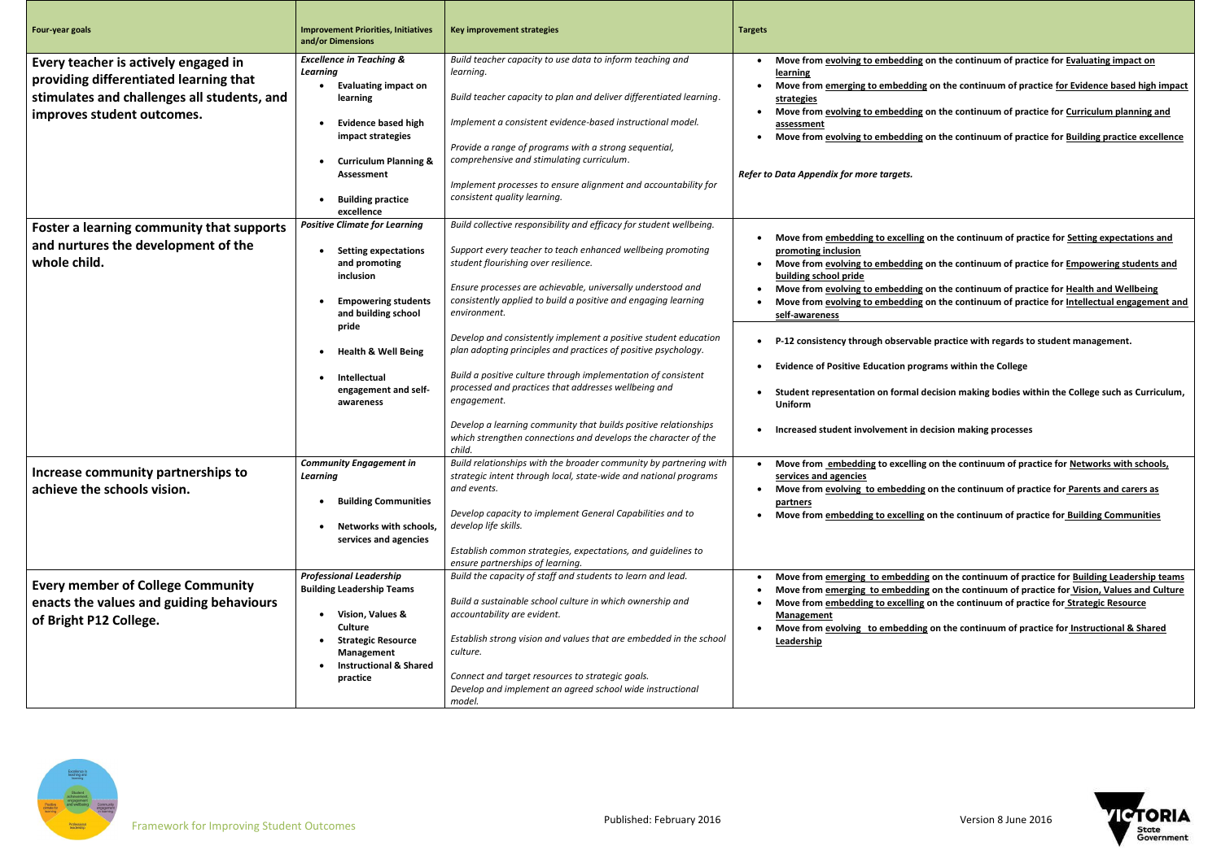**Move from evolving to embedding on the continuum of practice for Evaluating impact on Move from emerging to embedding on the continuum of practice for Evidence based high impact Move from evolving to embedding on the continuum of practice for Curriculum planning and Move from evolving to embedding on the continuum of practice for Building practice excellence**

**Mg on the continuum of practice for Setting expectations and** 

| Four-year goals                                                                                                                                             | <b>Improvement Priorities, Initiatives</b><br>and/or Dimensions                                                                                                                                                                                               | <b>Key improvement strategies</b>                                                                                                                                                                                                                                                                                                                                                                                                                                                                                                                                                                                                                                                                                                                       | <b>Targets</b>                                                                                                                                                                                                                                                                                                                                                                   |
|-------------------------------------------------------------------------------------------------------------------------------------------------------------|---------------------------------------------------------------------------------------------------------------------------------------------------------------------------------------------------------------------------------------------------------------|---------------------------------------------------------------------------------------------------------------------------------------------------------------------------------------------------------------------------------------------------------------------------------------------------------------------------------------------------------------------------------------------------------------------------------------------------------------------------------------------------------------------------------------------------------------------------------------------------------------------------------------------------------------------------------------------------------------------------------------------------------|----------------------------------------------------------------------------------------------------------------------------------------------------------------------------------------------------------------------------------------------------------------------------------------------------------------------------------------------------------------------------------|
| Every teacher is actively engaged in<br>providing differentiated learning that<br>stimulates and challenges all students, and<br>improves student outcomes. | <b>Excellence in Teaching &amp;</b><br><b>Learning</b><br><b>Evaluating impact on</b><br>learning<br><b>Evidence based high</b><br>impact strategies<br><b>Curriculum Planning &amp;</b><br><b>Assessment</b><br><b>Building practice</b><br>excellence       | Build teacher capacity to use data to inform teaching and<br>learning.<br>Build teacher capacity to plan and deliver differentiated learning.<br>Implement a consistent evidence-based instructional model.<br>Provide a range of programs with a strong sequential,<br>comprehensive and stimulating curriculum.<br>Implement processes to ensure alignment and accountability for<br>consistent quality learning.                                                                                                                                                                                                                                                                                                                                     | Move from evolving to embedding<br>learning<br>Move from emerging to embeddin<br>strategies<br>Move from evolving to embedding<br>assessment<br>Move from evolving to embedding<br>Refer to Data Appendix for more targets.                                                                                                                                                      |
| Foster a learning community that supports<br>and nurtures the development of the<br>whole child.                                                            | <b>Positive Climate for Learning</b><br><b>Setting expectations</b><br>and promoting<br>inclusion<br><b>Empowering students</b><br>and building school<br>pride<br><b>Health &amp; Well Being</b><br><b>Intellectual</b><br>engagement and self-<br>awareness | Build collective responsibility and efficacy for student wellbeing.<br>Support every teacher to teach enhanced wellbeing promoting<br>student flourishing over resilience.<br>Ensure processes are achievable, universally understood and<br>consistently applied to build a positive and engaging learning<br>environment.<br>Develop and consistently implement a positive student education<br>plan adopting principles and practices of positive psychology.<br>Build a positive culture through implementation of consistent<br>processed and practices that addresses wellbeing and<br>engagement.<br>Develop a learning community that builds positive relationships<br>which strengthen connections and develops the character of the<br>child. | Move from embedding to excelling<br>promoting inclusion<br>Move from evolving to embedding<br>building school pride<br>Move from evolving to embedding<br>Move from evolving to embedding<br>self-awareness<br>P-12 consistency through observal<br><b>Evidence of Positive Education pro</b><br>Student representation on formal<br>Uniform<br>Increased student involvement in |
| Increase community partnerships to<br>achieve the schools vision.                                                                                           | <b>Community Engagement in</b><br><b>Learning</b><br><b>Building Communities</b><br>٠<br>Networks with schools,<br>services and agencies                                                                                                                      | Build relationships with the broader community by partnering with<br>strategic intent through local, state-wide and national programs<br>and events.<br>Develop capacity to implement General Capabilities and to<br>develop life skills.<br>Establish common strategies, expectations, and guidelines to<br>ensure partnerships of learning.                                                                                                                                                                                                                                                                                                                                                                                                           | Move from embedding to excellin<br>services and agencies<br>Move from evolving to embedding<br>partners<br>Move from embedding to excelling                                                                                                                                                                                                                                      |
| <b>Every member of College Community</b><br>enacts the values and guiding behaviours<br>of Bright P12 College.                                              | <b>Professional Leadership</b><br><b>Building Leadership Teams</b><br>Vision, Values &<br><b>Culture</b><br><b>Strategic Resource</b><br>Management<br><b>Instructional &amp; Shared</b><br>practice                                                          | Build the capacity of staff and students to learn and lead.<br>Build a sustainable school culture in which ownership and<br>accountability are evident.<br>Establish strong vision and values that are embedded in the school<br>culture.<br>Connect and target resources to strategic goals.<br>Develop and implement an agreed school wide instructional<br>model.                                                                                                                                                                                                                                                                                                                                                                                    | Move from emerging to embeddin<br>Move from emerging to embeddin<br>Move from embedding to excelling<br>Management<br>Move from evolving to embeddin<br>Leadership                                                                                                                                                                                                               |



**Move from evolving to embedding on the continuum of practice for Empowering students and** 

 **Move from evolving to embedding on the continuum of practice for Health and Wellbeing Move from evolving to embedding on the continuum of practice for Intellectual engagement and** 

ble practice with regards to student management.

**Exams within the College** 

I decision making bodies within the College such as Curriculum,

**decision making processes** 

**Move from the continuum of practice for <u>Networks with schools,</u>** 

**Move from the continuum of practice for Parents and carers as** 

**Mg on the continuum of practice for Building Communities** 

**Move from the continuum of practice for Building Leadership teams Move from the continuum of practice for Vision, Values and Culture Mg** on the continuum of practice for **Strategic Resource** 

**Move from the continuum of practice for Instructional & Shared** 

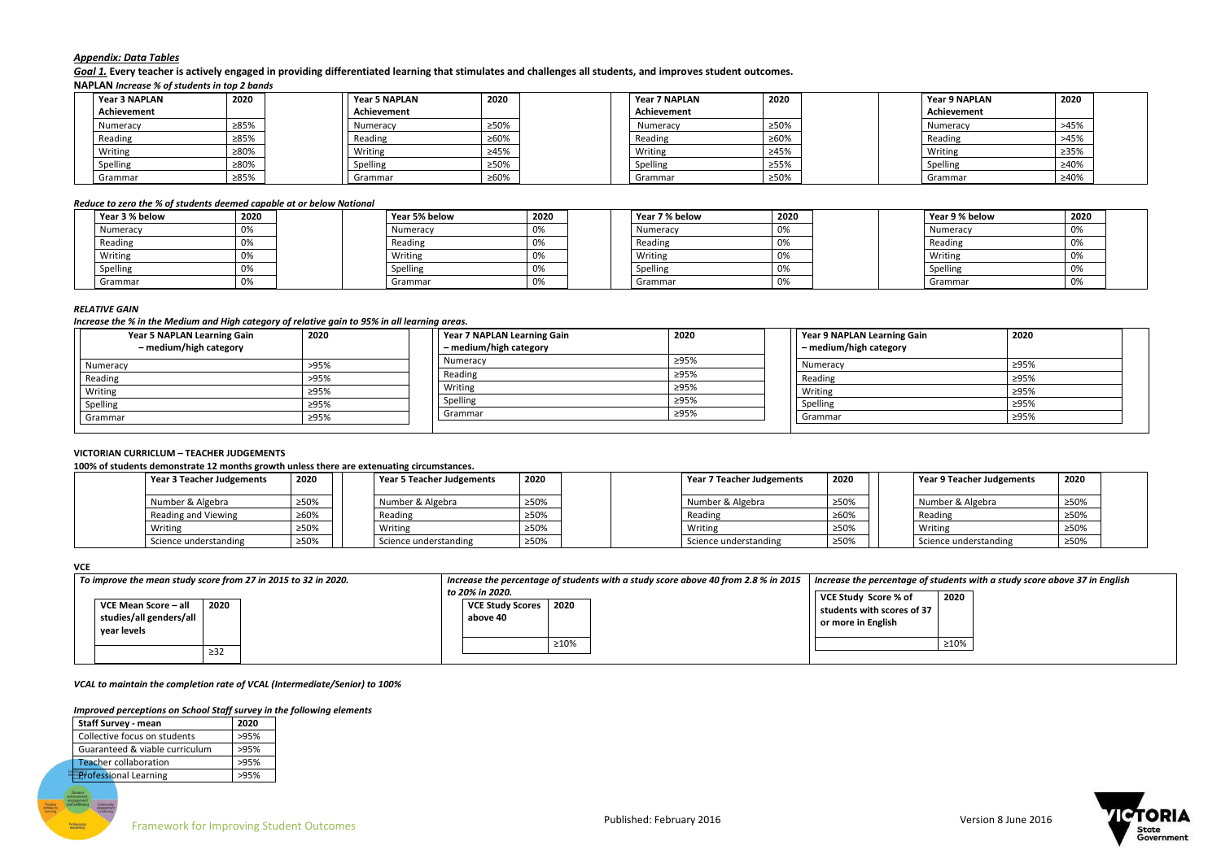

## *Appendix: Data Tables*

*Goal 1.* **Every teacher is actively engaged in providing differentiated learning that stimulates and challenges all students, and improves student outcomes. NAPLAN** *Increase % of students in top 2 bands* 

| <b>Year 3 NAPLAN</b> | 2020 | <b>Year 5 NAPLAN</b> | 2020 | Year 7 NAPLAN | 2020 | <b>Year 9 NAPLAN</b> | 2020 |
|----------------------|------|----------------------|------|---------------|------|----------------------|------|
| Achievement          |      | Achievement          |      | Achievement   |      | Achievement          |      |
| Numeracy             | ≥85% | Numeracy             | ≥50% | Numeracy      | ≥50% | Numeracy             | >45% |
| Reading              | ≥85% | Reading              | ≥60% | Reading       | ≥60% | Reading              | >45% |
| Writing              | ≥80% | Writing              | ≥45% | Writing       | ≥45% | Writing              | ≥35% |
| Spelling             | ≥80% | Spelling             | ≥50% | Spelling      | ≥55% | Spelling             | ≥40% |
| Grammar              | ≥85% | Grammar              | ≥60% | Grammar       | ≥50% | Grammar              | ≥40% |

#### *Reduce to zero the % of students deemed capable at or below National*

| Year 3 % below | 2020 | Year 5% below | 2020 | Year 7 % below | 2020 | Year 9 % below | 2020 |
|----------------|------|---------------|------|----------------|------|----------------|------|
| Numeracy       | 0%   | Numeracy      | 0%   | Numeracy       | 0%   | Numeracy       | 0%   |
| Reading        | 0%   | Reading       | 0%   | Reading        | 0%   | Reading        | 0%   |
| Writing        | 0%   | Writing       | 0%   | Writing        | 0%   | Writing        | 0%   |
| Spelling       | 0%   | Spelling      | 0%   | Spelling       | 0%   | Spelling       | 0%   |
| Grammar        | 0%   | Grammar       | 0%   | Grammar        | 0%   | Grammar        | 0%   |

## *RELATIVE GAIN*

*Increase the % in the Medium and High category of relative gain to 95% in all learning areas.*

| <b>Year 5 NAPLAN Learning Gain</b><br>- medium/high category | 2020 | Year 7 NAPLAN Learning Gain<br>- medium/high category | 2020 | Year 9 NAPLAN Learning Gain<br>- medium/high category | 2020 |
|--------------------------------------------------------------|------|-------------------------------------------------------|------|-------------------------------------------------------|------|
| Numeracy                                                     | >95% | Numeracy                                              | ≥95% | Numeracy                                              | ≥95% |
| Reading                                                      | >95% | Reading                                               | ≥95% | Reading                                               | ≥95% |
| Writing                                                      | ≥95% | Writing                                               | ≥95% | Writing                                               | ≥95% |
| Spelling                                                     | ≥95% | Spelling                                              | ≥95% | Spelling                                              | ≥95% |
| Grammar                                                      | ≥95% | Grammar                                               | ≥95% | Grammar                                               | ≥95% |

## **VICTORIAN CURRICLUM – TEACHER JUDGEMENTS**

**100% of students demonstrate 12 months growth unless there are extenuating circumstances.**

| Year 3 Teacher Judgements | 2020 | Year 5 Teacher Judgements | 2020 | Year 7 Teacher Judgements | 2020 | Year 9 Teacher Judgements | 2020 |
|---------------------------|------|---------------------------|------|---------------------------|------|---------------------------|------|
| Number & Algebra          | ≥50% | Number & Algebra          | ≥50% | Number & Algebra          | ≥50% | Number & Algebra          | ≥50% |
| Reading and Viewing       | ≥60% | Reading                   | ≥50% | Reading                   | ≥60% | Reading                   | ≥50% |
| Writing                   | ≥50% | Writing                   | ≥50% | Writing                   | ≥50% | Writing                   | ≥50% |
| Science understanding     | ≥50% | Science understanding     | ≥50% | Science understanding     | ≥50% | Science understanding     | ≥50% |

#### **VCE**

| 2020<br>VCE Mean Score - all<br>studies/all genders/all<br>vear levels | To improve the mean study score from 27 in 2015 to 32 in 2020. |  | to 20% in 2020.<br><b>VCE Study Scores</b><br>above 40 | Increase the percentage of students with a study score above 40 from 2.8 % in 2015<br>2020 | Increase the percentage of students w<br>VCE Study Score % of<br>students with scores of 37<br>or more in English | 2020 |
|------------------------------------------------------------------------|----------------------------------------------------------------|--|--------------------------------------------------------|--------------------------------------------------------------------------------------------|-------------------------------------------------------------------------------------------------------------------|------|
| $\geq$ 32                                                              |                                                                |  |                                                        | ≥10%                                                                                       |                                                                                                                   | ≥10% |

*Increase the percentage of students with a study score above 37 in English*



*VCAL to maintain the completion rate of VCAL (Intermediate/Senior) to 100%*

#### *Improved perceptions on School Staff survey in the following elements*

| <b>Staff Survey - mean</b>     | 2020 |
|--------------------------------|------|
| Collective focus on students   | >95% |
| Guaranteed & viable curriculum | >95% |
| <b>Teacher collaboration</b>   | >95% |
| <b>Professional Learning</b>   | >95% |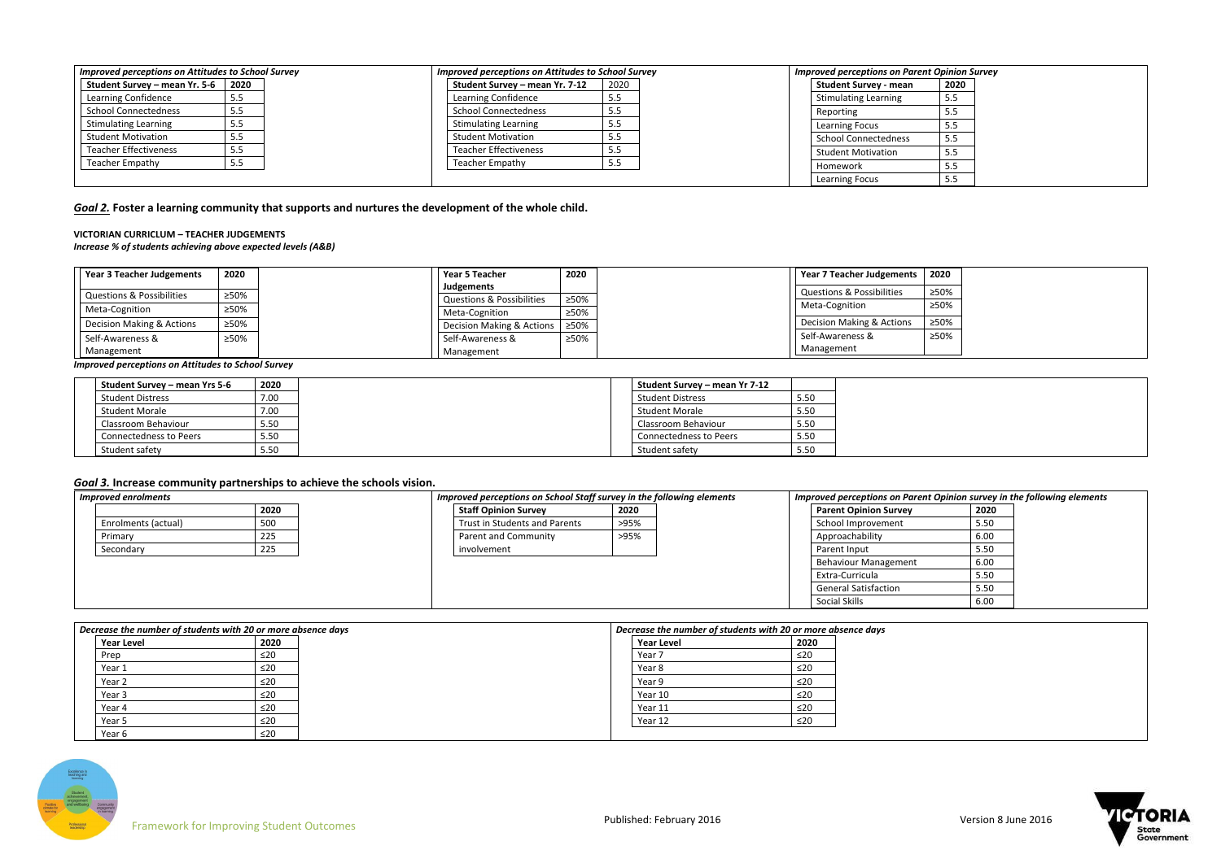| <b>Improved perceptions on Attitudes to School Survey</b> |      | <b>Improved perceptions on Attitudes to School Survey</b> |      | <b>Improved perceptions on Parent Opinion Survey</b> |      |
|-----------------------------------------------------------|------|-----------------------------------------------------------|------|------------------------------------------------------|------|
| Student Survey – mean Yr. 5-6                             | 2020 | Student Survey – mean Yr. 7-12                            | 2020 | <b>Student Survey - mean</b>                         | 2020 |
| Learning Confidence                                       | 5.5  | Learning Confidence                                       | 5.5  | <b>Stimulating Learning</b>                          | 5.5  |
| <b>School Connectedness</b>                               | 5.5  | <b>School Connectedness</b>                               | 5.5  | Reporting                                            | 5.5  |
| <b>Stimulating Learning</b>                               | 5.5  | <b>Stimulating Learning</b>                               | ر.ر  | <b>Learning Focus</b>                                | 5.5  |
| <b>Student Motivation</b>                                 | 5.5  | <b>Student Motivation</b>                                 | ر.ر  | School Connectedness                                 | 5.5  |
| <b>Teacher Effectiveness</b>                              | 5.5  | <b>Teacher Effectiveness</b>                              | 5.5  | <b>Student Motivation</b>                            | 5.5  |
| <b>Teacher Empathy</b>                                    |      | <b>Teacher Empathy</b>                                    | 5.5  | Homework                                             | ر.ر  |
|                                                           |      |                                                           |      | Learning Focus                                       | 5.5  |

# *Goal 2.* **Foster a learning community that supports and nurtures the development of the whole child.**

### **VICTORIAN CURRICLUM – TEACHER JUDGEMENTS**

*Increase % of students achieving above expected levels (A&B)*

| <b>Year 3 Teacher Judgements</b>     | 2020 | Year 5 Teacher                                     | 2020 | Year 7 Teacher Judgements | 2020 |
|--------------------------------------|------|----------------------------------------------------|------|---------------------------|------|
| <b>Questions &amp; Possibilities</b> | ≥50% | Judgements<br><b>Questions &amp; Possibilities</b> | ≥50% | Questions & Possibilities | ≥50% |
| Meta-Cognition                       | ≥50% | Meta-Cognition                                     | ≥50% | Meta-Cognition            | ≥50% |
| Decision Making & Actions            | ≥50% | Decision Making & Actions 250%                     |      | Decision Making & Actions | ≥50% |
| Self-Awareness &                     | ≥50% | Self-Awareness &                                   | ≥50% | Self-Awareness &          | ≥50% |
| Management                           |      | Management                                         |      | Management                |      |

*Improved perceptions on Attitudes to School Survey*

| Student Survey – mean Yrs 5-6 | 2020 |  | Student Survey – mean Yr 7-12 |
|-------------------------------|------|--|-------------------------------|
| <b>Student Distress</b>       | 7.00 |  | <b>Student Distress</b>       |
| <b>Student Morale</b>         | 7.00 |  | <b>Student Morale</b>         |
| Classroom Behaviour           | 5.50 |  | Classroom Behaviour           |
| <b>Connectedness to Peers</b> | 5.50 |  | Connectedness to Peers        |
| Student safety                | 5.50 |  | Student safety                |

## *Goal 3.* **Increase community partnerships to achieve the schools vision.**

| <b>Improved enrolments</b> |      |                               | Improved perceptions on School Staff survey in the following elements |                              | Improved perceptions on Parent Opinion survey in the following elements |  |  |
|----------------------------|------|-------------------------------|-----------------------------------------------------------------------|------------------------------|-------------------------------------------------------------------------|--|--|
|                            | 2020 | <b>Staff Opinion Survey</b>   | 2020                                                                  | <b>Parent Opinion Survey</b> | 2020                                                                    |  |  |
| Enrolments (actual)        | 500  | Trust in Students and Parents | >95%                                                                  | School Improvement           | 5.50                                                                    |  |  |
| Primary                    | 225  | Parent and Community          | >95%                                                                  | Approachability              | 6.00                                                                    |  |  |
| Secondary                  | 225  | involvement                   |                                                                       | Parent Input                 | 5.50                                                                    |  |  |
|                            |      |                               |                                                                       | Behaviour Management         | 6.00                                                                    |  |  |
|                            |      |                               |                                                                       | Extra-Curricula              | 5.50                                                                    |  |  |
|                            |      |                               |                                                                       | <b>General Satisfaction</b>  | 5.50                                                                    |  |  |
|                            |      |                               |                                                                       | Social Skills                | 6.00                                                                    |  |  |

| Decrease the number of students with 20 or more absence days |                   |           |  | Decrease the number of students with 20 or more absence days |           |  |  |
|--------------------------------------------------------------|-------------------|-----------|--|--------------------------------------------------------------|-----------|--|--|
|                                                              | <b>Year Level</b> | 2020      |  | <b>Year Level</b>                                            | 2020      |  |  |
|                                                              | Prep              | ≤20       |  | Year 7                                                       | ≤20       |  |  |
|                                                              | Year 1            | ≤20       |  | Year 8                                                       | $\leq 20$ |  |  |
|                                                              | Year 2            | ≤20       |  | Year 9                                                       | $\leq 20$ |  |  |
|                                                              | Year 3            | ≤20       |  | Year 10                                                      | $\leq 20$ |  |  |
|                                                              | Year 4            | ≤20       |  | Year 11                                                      | ≤20       |  |  |
|                                                              | Year 5            | $\leq 20$ |  | Year 12                                                      | $\leq$ 20 |  |  |
|                                                              | Year 6            | ≤20       |  |                                                              |           |  |  |